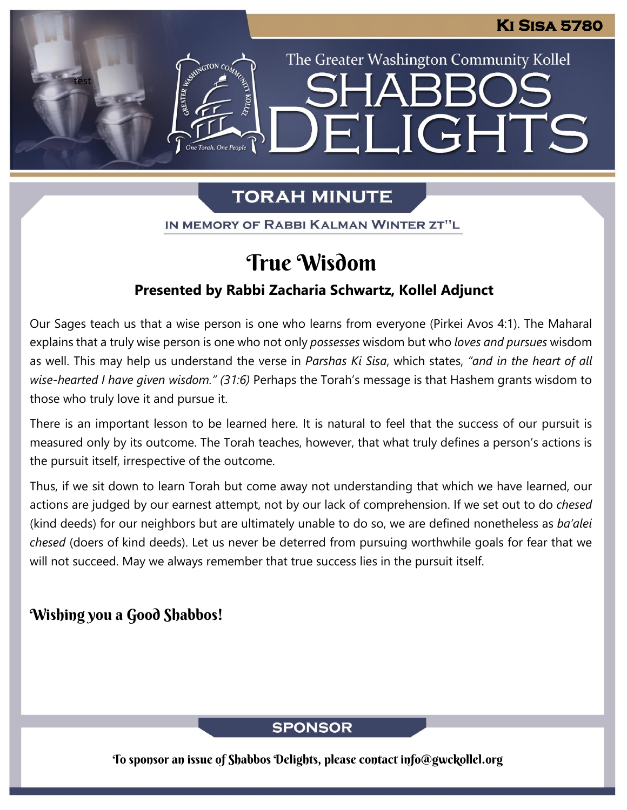The Greater Washington Community Kollel

ELIGHTS

# **TORAH MINUTE**

IN MEMORY OF RABBI KALMAN WINTER ZT"L

# True Wisdom

## **Presented by Rabbi Zacharia Schwartz, Kollel Adjunct**

Our Sages teach us that a wise person is one who learns from everyone (Pirkei Avos 4:1). The Maharal explains that a truly wise person is one who not only *possesses* wisdom but who *loves and pursues* wisdom as well. This may help us understand the verse in *Parshas Ki Sisa*, which states, *"and in the heart of all wise-hearted I have given wisdom." (31:6)* Perhaps the Torah's message is that Hashem grants wisdom to those who truly love it and pursue it.

There is an important lesson to be learned here. It is natural to feel that the success of our pursuit is measured only by its outcome. The Torah teaches, however, that what truly defines a person's actions is the pursuit itself, irrespective of the outcome.

Thus, if we sit down to learn Torah but come away not understanding that which we have learned, our actions are judged by our earnest attempt, not by our lack of comprehension. If we set out to do *chesed* (kind deeds) for our neighbors but are ultimately unable to do so, we are defined nonetheless as *ba'alei chesed* (doers of kind deeds). Let us never be deterred from pursuing worthwhile goals for fear that we will not succeed. May we always remember that true success lies in the pursuit itself.

## Wishing you a Good Shabbos!

test

## **SPONSOR**

To sponsor an issue of Shabbos Delights, please contact info@gwckollel.org